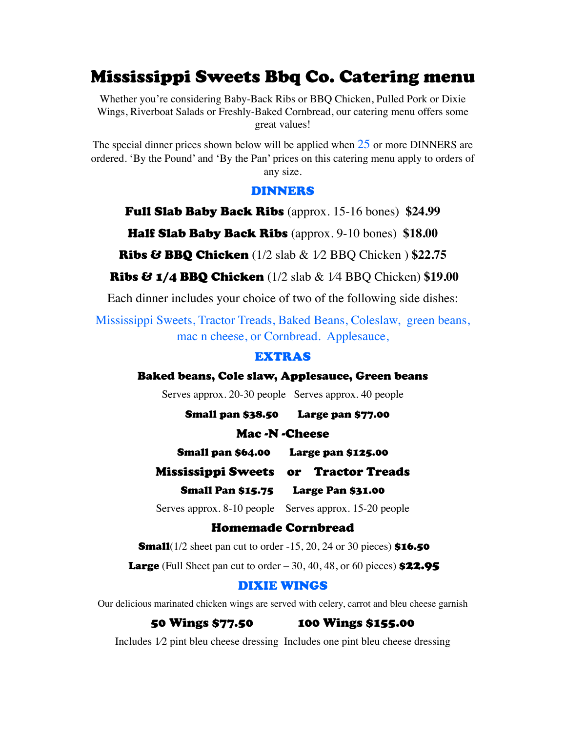# Mississippi Sweets Bbq Co. Catering menu

Whether you're considering Baby-Back Ribs or BBQ Chicken, Pulled Pork or Dixie Wings, Riverboat Salads or Freshly-Baked Cornbread, our catering menu offers some great values!

The special dinner prices shown below will be applied when 25 or more DINNERS are ordered. 'By the Pound' and 'By the Pan' prices on this catering menu apply to orders of any size.

#### DINNERS

Full Slab Baby Back Ribs (approx. 15-16 bones) **\$24.99**

Half Slab Baby Back Ribs (approx. 9-10 bones) **\$18.00**

Ribs & BBQ Chicken (1/2 slab & 1⁄2 BBQ Chicken ) **\$22.75**

Ribs & 1/4 BBQ Chicken (1/2 slab & 1⁄4 BBQ Chicken) **\$19.00**

Each dinner includes your choice of two of the following side dishes:

Mississippi Sweets, Tractor Treads, Baked Beans, Coleslaw, green beans, mac n cheese, or Cornbread. Applesauce,

#### EXTRAS

Baked beans, Cole slaw, Applesauce, Green beans

Serves approx. 20-30 people Serves approx. 40 people

Small pan \$38.50 Large pan \$77.00

### Mac -N -Cheese

Small pan \$64.00 Large pan \$125.00

Mississippi Sweets or Tractor Treads

Small Pan \$15.75 Large Pan \$31.00

Serves approx. 8-10 people Serves approx. 15-20 people

#### Homemade Cornbread

**Small** $(1/2$  sheet pan cut to order  $-15$ , 20, 24 or 30 pieces) \$16.50

**Large** (Full Sheet pan cut to order  $-30$ , 40, 48, or 60 pieces) **\$22.95** 

#### DIXIE WINGS

Our delicious marinated chicken wings are served with celery, carrot and bleu cheese garnish

# 50 Wings \$77.50 100 Wings \$155.00

Includes 1⁄2 pint bleu cheese dressing Includes one pint bleu cheese dressing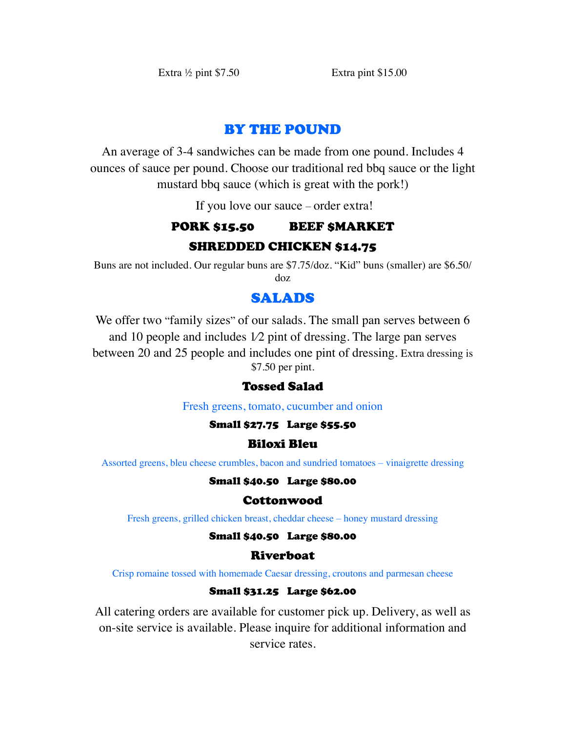# BY THE POUND

An average of 3-4 sandwiches can be made from one pound. Includes 4 ounces of sauce per pound. Choose our traditional red bbq sauce or the light mustard bbq sauce (which is great with the pork!)

If you love our sauce – order extra!

# PORK \$15.50 BEEF \$MARKET SHREDDED CHICKEN \$14.75

Buns are not included. Our regular buns are \$7.75/doz. "Kid" buns (smaller) are \$6.50/ doz

# SALADS

We offer two "family sizes" of our salads. The small pan serves between 6 and 10 people and includes 1⁄2 pint of dressing. The large pan serves between 20 and 25 people and includes one pint of dressing. Extra dressing is \$7.50 per pint.

# Tossed Salad

Fresh greens, tomato, cucumber and onion

# Small \$27.75 Large \$55.50

# Biloxi Bleu

Assorted greens, bleu cheese crumbles, bacon and sundried tomatoes – vinaigrette dressing

# Small \$40.50 Large \$80.00

# Cottonwood

Fresh greens, grilled chicken breast, cheddar cheese – honey mustard dressing

# Small \$40.50 Large \$80.00

# Riverboat

Crisp romaine tossed with homemade Caesar dressing, croutons and parmesan cheese

# Small \$31.25 Large \$62.00

All catering orders are available for customer pick up. Delivery, as well as on-site service is available. Please inquire for additional information and service rates.